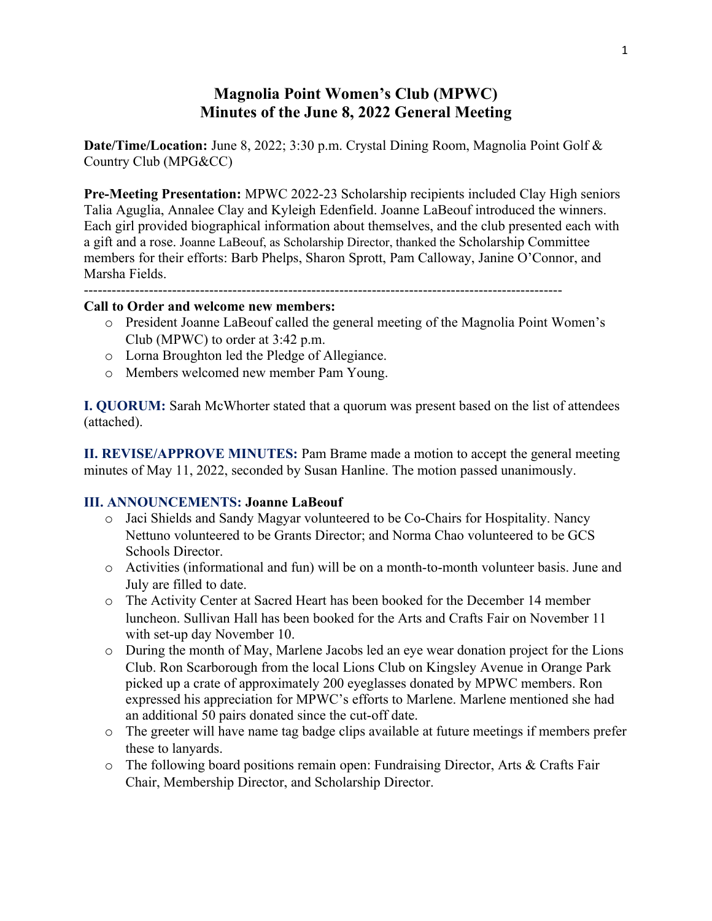## **Magnolia Point Women's Club (MPWC) Minutes of the June 8, 2022 General Meeting**

**Date/Time/Location:** June 8, 2022; 3:30 p.m. Crystal Dining Room, Magnolia Point Golf & Country Club (MPG&CC)

**Pre-Meeting Presentation:** MPWC 2022-23 Scholarship recipients included Clay High seniors Talia Aguglia, Annalee Clay and Kyleigh Edenfield. Joanne LaBeouf introduced the winners. Each girl provided biographical information about themselves, and the club presented each with a gift and a rose. Joanne LaBeouf, as Scholarship Director, thanked the Scholarship Committee members for their efforts: Barb Phelps, Sharon Sprott, Pam Calloway, Janine O'Connor, and Marsha Fields.

-------------------------------------------------------------------------------------------------------

#### **Call to Order and welcome new members:**

- o President Joanne LaBeouf called the general meeting of the Magnolia Point Women's Club (MPWC) to order at 3:42 p.m.
- o Lorna Broughton led the Pledge of Allegiance.
- o Members welcomed new member Pam Young.

**I. QUORUM:** Sarah McWhorter stated that a quorum was present based on the list of attendees (attached).

**II. REVISE/APPROVE MINUTES:** Pam Brame made a motion to accept the general meeting minutes of May 11, 2022, seconded by Susan Hanline. The motion passed unanimously.

#### **III. ANNOUNCEMENTS: Joanne LaBeouf**

- o Jaci Shields and Sandy Magyar volunteered to be Co-Chairs for Hospitality. Nancy Nettuno volunteered to be Grants Director; and Norma Chao volunteered to be GCS Schools Director.
- o Activities (informational and fun) will be on a month-to-month volunteer basis. June and July are filled to date.
- o The Activity Center at Sacred Heart has been booked for the December 14 member luncheon. Sullivan Hall has been booked for the Arts and Crafts Fair on November 11 with set-up day November 10.
- o During the month of May, Marlene Jacobs led an eye wear donation project for the Lions Club. Ron Scarborough from the local Lions Club on Kingsley Avenue in Orange Park picked up a crate of approximately 200 eyeglasses donated by MPWC members. Ron expressed his appreciation for MPWC's efforts to Marlene. Marlene mentioned she had an additional 50 pairs donated since the cut-off date.
- o The greeter will have name tag badge clips available at future meetings if members prefer these to lanyards.
- o The following board positions remain open: Fundraising Director, Arts & Crafts Fair Chair, Membership Director, and Scholarship Director.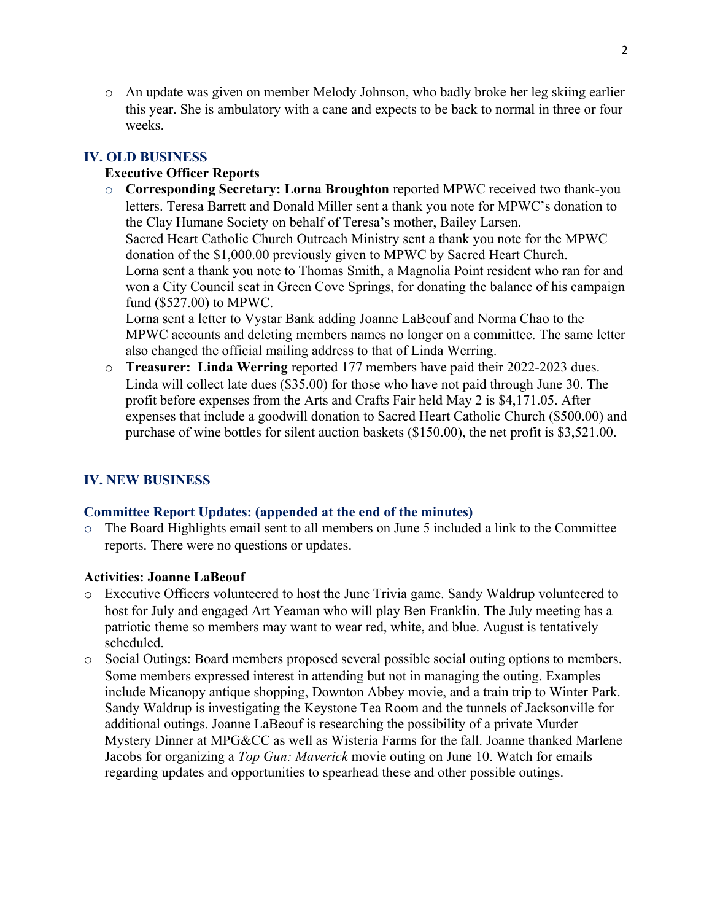o An update was given on member Melody Johnson, who badly broke her leg skiing earlier this year. She is ambulatory with a cane and expects to be back to normal in three or four weeks.

## **IV. OLD BUSINESS**

## **Executive Officer Reports**

o **Corresponding Secretary: Lorna Broughton** reported MPWC received two thank-you letters. Teresa Barrett and Donald Miller sent a thank you note for MPWC's donation to the Clay Humane Society on behalf of Teresa's mother, Bailey Larsen. Sacred Heart Catholic Church Outreach Ministry sent a thank you note for the MPWC donation of the \$1,000.00 previously given to MPWC by Sacred Heart Church. Lorna sent a thank you note to Thomas Smith, a Magnolia Point resident who ran for and won a City Council seat in Green Cove Springs, for donating the balance of his campaign fund (\$527.00) to MPWC. Lorna sent a letter to Vystar Bank adding Joanne LaBeouf and Norma Chao to the

MPWC accounts and deleting members names no longer on a committee. The same letter also changed the official mailing address to that of Linda Werring.

o **Treasurer: Linda Werring** reported 177 members have paid their 2022-2023 dues. Linda will collect late dues (\$35.00) for those who have not paid through June 30. The profit before expenses from the Arts and Crafts Fair held May 2 is \$4,171.05. After expenses that include a goodwill donation to Sacred Heart Catholic Church (\$500.00) and purchase of wine bottles for silent auction baskets (\$150.00), the net profit is \$3,521.00.

## **IV. NEW BUSINESS**

#### **Committee Report Updates: (appended at the end of the minutes)**

 $\circ$  The Board Highlights email sent to all members on June 5 included a link to the Committee reports. There were no questions or updates.

#### **Activities: Joanne LaBeouf**

- o Executive Officers volunteered to host the June Trivia game. Sandy Waldrup volunteered to host for July and engaged Art Yeaman who will play Ben Franklin. The July meeting has a patriotic theme so members may want to wear red, white, and blue. August is tentatively scheduled.
- o Social Outings: Board members proposed several possible social outing options to members. Some members expressed interest in attending but not in managing the outing. Examples include Micanopy antique shopping, Downton Abbey movie, and a train trip to Winter Park. Sandy Waldrup is investigating the Keystone Tea Room and the tunnels of Jacksonville for additional outings. Joanne LaBeouf is researching the possibility of a private Murder Mystery Dinner at MPG&CC as well as Wisteria Farms for the fall. Joanne thanked Marlene Jacobs for organizing a *Top Gun: Maverick* movie outing on June 10. Watch for emails regarding updates and opportunities to spearhead these and other possible outings.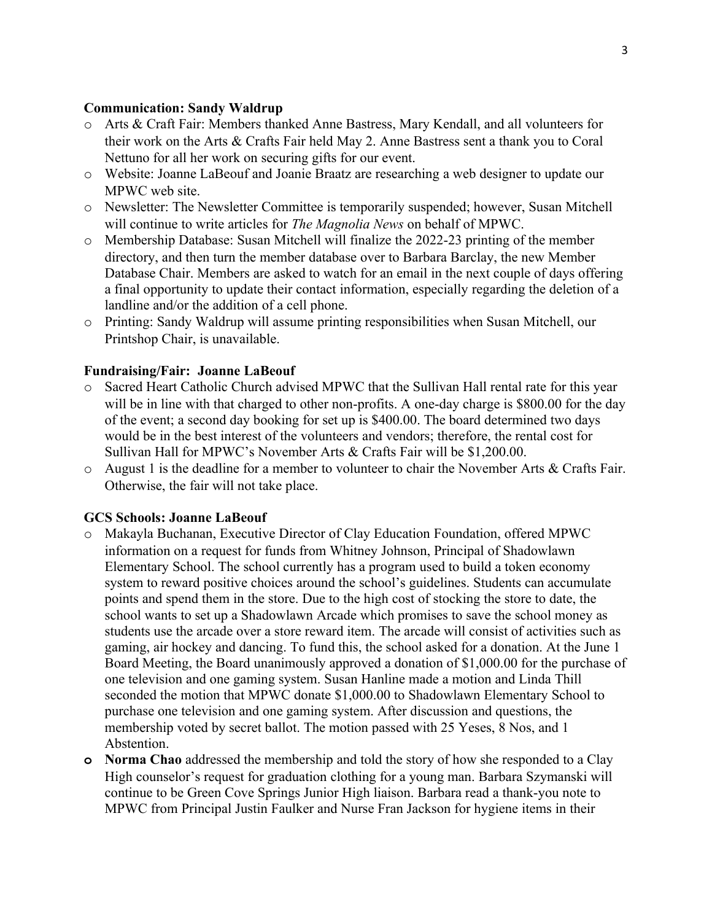#### **Communication: Sandy Waldrup**

- o Arts & Craft Fair: Members thanked Anne Bastress, Mary Kendall, and all volunteers for their work on the Arts & Crafts Fair held May 2. Anne Bastress sent a thank you to Coral Nettuno for all her work on securing gifts for our event.
- o Website: Joanne LaBeouf and Joanie Braatz are researching a web designer to update our MPWC web site.
- o Newsletter: The Newsletter Committee is temporarily suspended; however, Susan Mitchell will continue to write articles for *The Magnolia News* on behalf of MPWC.
- o Membership Database: Susan Mitchell will finalize the 2022-23 printing of the member directory, and then turn the member database over to Barbara Barclay, the new Member Database Chair. Members are asked to watch for an email in the next couple of days offering a final opportunity to update their contact information, especially regarding the deletion of a landline and/or the addition of a cell phone.
- o Printing: Sandy Waldrup will assume printing responsibilities when Susan Mitchell, our Printshop Chair, is unavailable.

#### **Fundraising/Fair: Joanne LaBeouf**

- o Sacred Heart Catholic Church advised MPWC that the Sullivan Hall rental rate for this year will be in line with that charged to other non-profits. A one-day charge is \$800.00 for the day of the event; a second day booking for set up is \$400.00. The board determined two days would be in the best interest of the volunteers and vendors; therefore, the rental cost for Sullivan Hall for MPWC's November Arts & Crafts Fair will be \$1,200.00.
- o August 1 is the deadline for a member to volunteer to chair the November Arts & Crafts Fair. Otherwise, the fair will not take place.

#### **GCS Schools: Joanne LaBeouf**

- o Makayla Buchanan, Executive Director of Clay Education Foundation, offered MPWC information on a request for funds from Whitney Johnson, Principal of Shadowlawn Elementary School. The school currently has a program used to build a token economy system to reward positive choices around the school's guidelines. Students can accumulate points and spend them in the store. Due to the high cost of stocking the store to date, the school wants to set up a Shadowlawn Arcade which promises to save the school money as students use the arcade over a store reward item. The arcade will consist of activities such as gaming, air hockey and dancing. To fund this, the school asked for a donation. At the June 1 Board Meeting, the Board unanimously approved a donation of \$1,000.00 for the purchase of one television and one gaming system. Susan Hanline made a motion and Linda Thill seconded the motion that MPWC donate \$1,000.00 to Shadowlawn Elementary School to purchase one television and one gaming system. After discussion and questions, the membership voted by secret ballot. The motion passed with 25 Yeses, 8 Nos, and 1 Abstention.
- **o Norma Chao** addressed the membership and told the story of how she responded to a Clay High counselor's request for graduation clothing for a young man. Barbara Szymanski will continue to be Green Cove Springs Junior High liaison. Barbara read a thank-you note to MPWC from Principal Justin Faulker and Nurse Fran Jackson for hygiene items in their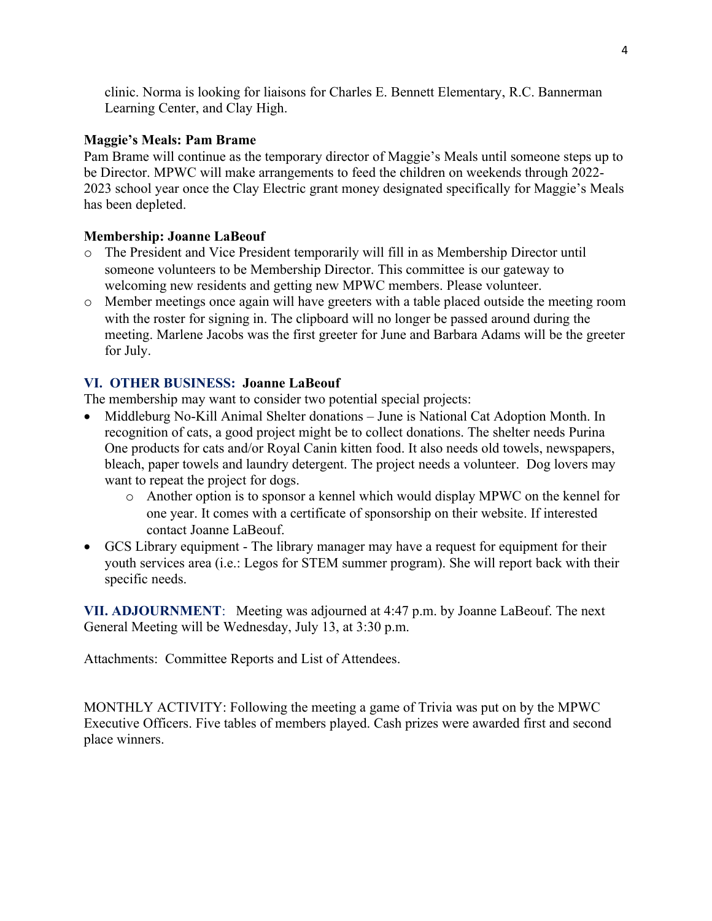clinic. Norma is looking for liaisons for Charles E. Bennett Elementary, R.C. Bannerman Learning Center, and Clay High.

## **Maggie's Meals: Pam Brame**

Pam Brame will continue as the temporary director of Maggie's Meals until someone steps up to be Director. MPWC will make arrangements to feed the children on weekends through 2022- 2023 school year once the Clay Electric grant money designated specifically for Maggie's Meals has been depleted.

## **Membership: Joanne LaBeouf**

- o The President and Vice President temporarily will fill in as Membership Director until someone volunteers to be Membership Director. This committee is our gateway to welcoming new residents and getting new MPWC members. Please volunteer.
- o Member meetings once again will have greeters with a table placed outside the meeting room with the roster for signing in. The clipboard will no longer be passed around during the meeting. Marlene Jacobs was the first greeter for June and Barbara Adams will be the greeter for July.

## **VI. OTHER BUSINESS: Joanne LaBeouf**

The membership may want to consider two potential special projects:

- Middleburg No-Kill Animal Shelter donations June is National Cat Adoption Month. In recognition of cats, a good project might be to collect donations. The shelter needs Purina One products for cats and/or Royal Canin kitten food. It also needs old towels, newspapers, bleach, paper towels and laundry detergent. The project needs a volunteer. Dog lovers may want to repeat the project for dogs.
	- o Another option is to sponsor a kennel which would display MPWC on the kennel for one year. It comes with a certificate of sponsorship on their website. If interested contact Joanne LaBeouf.
- GCS Library equipment The library manager may have a request for equipment for their youth services area (i.e.: Legos for STEM summer program). She will report back with their specific needs.

**VII. ADJOURNMENT**: Meeting was adjourned at 4:47 p.m. by Joanne LaBeouf. The next General Meeting will be Wednesday, July 13, at 3:30 p.m.

Attachments: Committee Reports and List of Attendees.

MONTHLY ACTIVITY: Following the meeting a game of Trivia was put on by the MPWC Executive Officers. Five tables of members played. Cash prizes were awarded first and second place winners.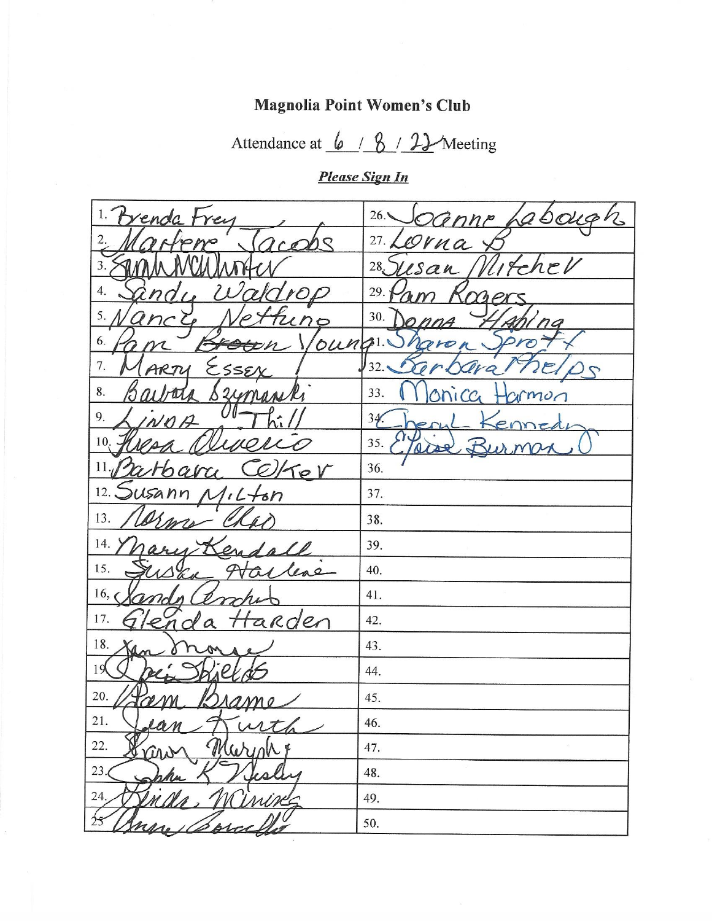# Magnolia Point Women's Club

Attendance at  $\frac{6}{8}$  /  $\frac{2}{1}$  Meeting

**Please Sign In** 

| 1. Brenda Frey                                       | 26. OGnne Labough  |
|------------------------------------------------------|--------------------|
| 2.<br>pw                                             | 27. Lerna X        |
| 3.                                                   | 28. Susan Illite   |
| 4.<br>$nq_{L}$                                       | 29.<br>im Kng      |
| 5.<br>ancy<br>tuno                                   | 30.<br>nna         |
| 6.                                                   | oung Dharon<br>pro |
| 7.<br>ESSEX<br>ARTY                                  | 32.<br>Tra         |
| 8.<br>arbora Bzymanki                                | 33.                |
| 9.<br>んぇ /<br>NOP                                    | 34.                |
| 10. Hiera a                                          | 35.7               |
| 11. Barbara Celfer                                   | 36.                |
| 12. Susann Milton                                    | 37.                |
| 13.                                                  | 38.                |
| 14.<br>Yhousi<br>Serafall                            | 39.                |
| 15.<br>Harless<br>$U\Delta_{\mathscr{C}\mathscr{A}}$ | 40.                |
| 16, C<br>man                                         | 41.                |
| arden<br>17.<br>Glenda                               | 42.                |
| 18.<br>Kan 8                                         | 43.                |
| 19                                                   | 44.                |
| 20.<br>m<br>mo                                       | 45.                |
| 21.                                                  | 46.                |
| 22.<br>$\langle \cdot \rangle$                       | 47.                |
| 23.                                                  | 48.                |
| 24.                                                  | 49.                |
| 25                                                   | 50.                |

 $\bar{\mathbb{S}}$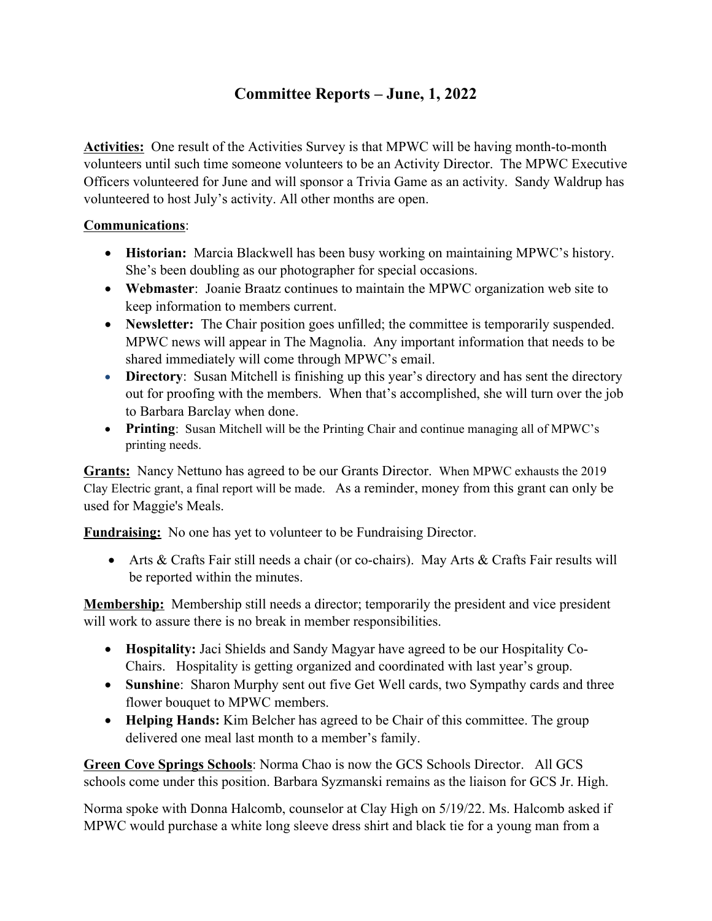# **Committee Reports – June, 1, 2022**

**Activities:** One result of the Activities Survey is that MPWC will be having month-to-month volunteers until such time someone volunteers to be an Activity Director. The MPWC Executive Officers volunteered for June and will sponsor a Trivia Game as an activity. Sandy Waldrup has volunteered to host July's activity. All other months are open.

## **Communications**:

- **Historian:** Marcia Blackwell has been busy working on maintaining MPWC's history. She's been doubling as our photographer for special occasions.
- **Webmaster**: Joanie Braatz continues to maintain the MPWC organization web site to keep information to members current.
- **Newsletter:** The Chair position goes unfilled; the committee is temporarily suspended. MPWC news will appear in The Magnolia. Any important information that needs to be shared immediately will come through MPWC's email.
- **Directory**: Susan Mitchell is finishing up this year's directory and has sent the directory out for proofing with the members. When that's accomplished, she will turn over the job to Barbara Barclay when done.
- **Printing**: Susan Mitchell will be the Printing Chair and continue managing all of MPWC's printing needs.

**Grants:** Nancy Nettuno has agreed to be our Grants Director. When MPWC exhausts the 2019 Clay Electric grant, a final report will be made. As a reminder, money from this grant can only be used for Maggie's Meals.

**Fundraising:** No one has yet to volunteer to be Fundraising Director.

 Arts & Crafts Fair still needs a chair (or co-chairs). May Arts & Crafts Fair results will be reported within the minutes.

**Membership:** Membership still needs a director; temporarily the president and vice president will work to assure there is no break in member responsibilities.

- **Hospitality:** Jaci Shields and Sandy Magyar have agreed to be our Hospitality Co-Chairs. Hospitality is getting organized and coordinated with last year's group.
- **Sunshine**: Sharon Murphy sent out five Get Well cards, two Sympathy cards and three flower bouquet to MPWC members.
- **Helping Hands:** Kim Belcher has agreed to be Chair of this committee. The group delivered one meal last month to a member's family.

**Green Cove Springs Schools**: Norma Chao is now the GCS Schools Director. All GCS schools come under this position. Barbara Syzmanski remains as the liaison for GCS Jr. High.

Norma spoke with Donna Halcomb, counselor at Clay High on 5/19/22. Ms. Halcomb asked if MPWC would purchase a white long sleeve dress shirt and black tie for a young man from a